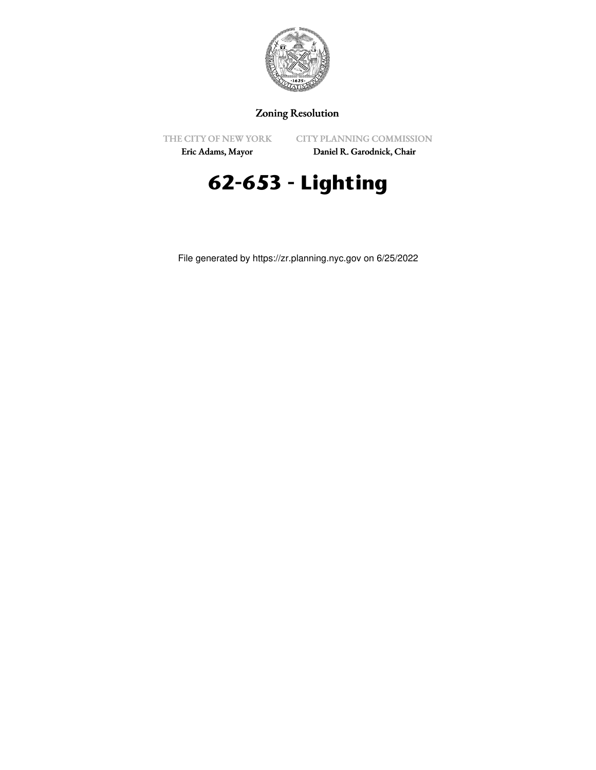

## Zoning Resolution

THE CITY OF NEW YORK

CITY PLANNING COMMISSION

Eric Adams, Mayor

Daniel R. Garodnick, Chair

## **62-653 - Lighting**

File generated by https://zr.planning.nyc.gov on 6/25/2022